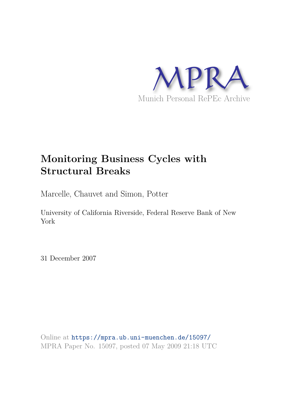

# **Monitoring Business Cycles with Structural Breaks**

Marcelle, Chauvet and Simon, Potter

University of California Riverside, Federal Reserve Bank of New York

31 December 2007

Online at https://mpra.ub.uni-muenchen.de/15097/ MPRA Paper No. 15097, posted 07 May 2009 21:18 UTC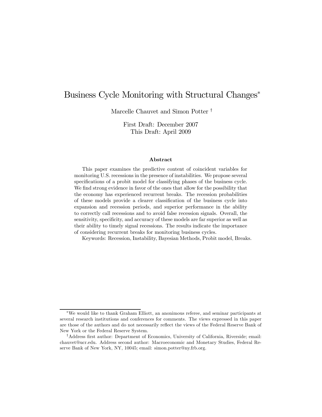# Business Cycle Monitoring with Structural Changes<sup>\*</sup>

Marcelle Chauvet and Simon Potter †

First Draft: December 2007 This Draft: April 2009

#### Abstract

This paper examines the predictive content of coincident variables for monitoring U.S. recessions in the presence of instabilities. We propose several specifications of a probit model for classifying phases of the business cycle. We find strong evidence in favor of the ones that allow for the possibility that the economy has experienced recurrent breaks. The recession probabilities of these models provide a clearer classification of the business cycle into expansion and recession periods, and superior performance in the ability to correctly call recessions and to avoid false recession signals. Overall, the sensitivity, specificity, and accuracy of these models are far superior as well as their ability to timely signal recessions. The results indicate the importance of considering recurrent breaks for monitoring business cycles.

Keywords: Recession, Instability, Bayesian Methods, Probit model, Breaks.

<sup>∗</sup>We would like to thank Graham Elliott, an anonimous referee, and seminar participants at several research institutions and conferences for comments. The views expressed in this paper are those of the authors and do not necessarily reflect the views of the Federal Reserve Bank of New York or the Federal Reserve System.

<sup>†</sup>Address first author: Department of Economics, University of California, Riverside; email: chauvet@ucr.edu. Address second author: Macroeconomic and Monetary Studies, Federal Reserve Bank of New York, NY, 10045; email: simon.potter@ny.frb.org.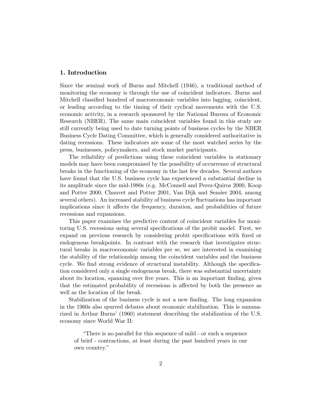# 1. Introduction

Since the seminal work of Burns and Mitchell (1946), a traditional method of monitoring the economy is through the use of coincident indicators. Burns and Mitchell classified hundred of macroeconomic variables into lagging, coincident, or leading according to the timing of their cyclical movements with the U.S. economic activity, in a research sponsored by the National Bureau of Economic Research (NBER). The same main coincident variables found in this study are still currently being used to date turning points of business cycles by the NBER Business Cycle Dating Committee, which is generally considered authoritative in dating recessions. These indicators are some of the most watched series by the press, businesses, policymakers, and stock market participants.

The reliability of predictions using these coincident variables in stationary models may have been compromised by the possibility of occurrence of structural breaks in the functioning of the economy in the last few decades. Several authors have found that the U.S. business cycle has experienced a substantial decline in its amplitude since the mid-1980s (e.g. McConnell and Perez-Quiros 2000, Koop and Potter 2000, Chauvet and Potter 2001, Van Dijk and Sensier 2004, among several others). An increased stability of business cycle fluctuations has important implications since it affects the frequency, duration, and probabilities of future recessions and expansions.

This paper examines the predictive content of coincident variables for monitoring U.S. recessions using several specifications of the probit model. First, we expand on previous research by considering probit specifications with fixed or endogenous breakpoints. In contrast with the research that investigates structural breaks in macroeconomic variables per se, we are interested in examining the stability of the relationship among the coincident variables and the business cycle. We find strong evidence of structural instability. Although the specification considered only a single endogenous break, there was substantial uncertainty about its location, spanning over five years. This is an important finding, given that the estimated probability of recessions is affected by both the presence as well as the location of the break.

Stabilization of the business cycle is not a new finding. The long expansion in the 1960s also spurred debates about economic stabilization. This is summarized in Arthur Burns' (1960) statement describing the stabilization of the U.S. economy since World War II:

"There is no parallel for this sequence of mild - or such a sequence of brief - contractions, at least during the past hundred years in our own country."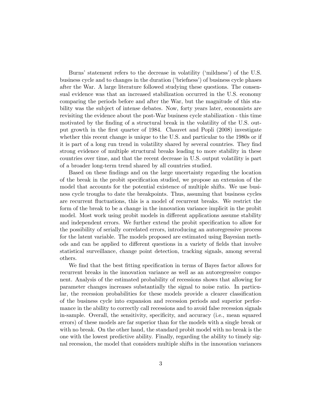Burns' statement refers to the decrease in volatility ('mildness') of the U.S. business cycle and to changes in the duration ('briefness') of business cycle phases after the War. A large literature followed studying these questions. The consensual evidence was that an increased stabilization occurred in the U.S. economy comparing the periods before and after the War, but the magnitude of this stability was the subject of intense debates. Now, forty years later, economists are revisiting the evidence about the post-War business cycle stabilization - this time motivated by the finding of a structural break in the volatility of the U.S. output growth in the first quarter of 1984. Chauvet and Popli (2008) investigate whether this recent change is unique to the U.S. and particular to the 1980s or if it is part of a long run trend in volatility shared by several countries. They find strong evidence of multiple structural breaks leading to more stability in these countries over time, and that the recent decrease in U.S. output volatility is part of a broader long-term trend shared by all countries studied.

Based on these findings and on the large uncertainty regarding the location of the break in the probit specification studied, we propose an extension of the model that accounts for the potential existence of multiple shifts. We use business cycle troughs to date the breakpoints. Thus, assuming that business cycles are recurrent fluctuations, this is a model of recurrent breaks. We restrict the form of the break to be a change in the innovation variance implicit in the probit model. Most work using probit models in different applications assume stability and independent errors. We further extend the probit specification to allow for the possibility of serially correlated errors, introducing an autoregressive process for the latent variable. The models proposed are estimated using Bayesian methods and can be applied to different questions in a variety of fields that involve statistical surveillance, change point detection, tracking signals, among several others.

We find that the best fitting specification in terms of Bayes factor allows for recurrent breaks in the innovation variance as well as an autoregressive component. Analysis of the estimated probability of recessions shows that allowing for parameter changes increases substantially the signal to noise ratio. In particular, the recession probabilities for these models provide a clearer classification of the business cycle into expansion and recession periods and superior performance in the ability to correctly call recessions and to avoid false recession signals in-sample. Overall, the sensitivity, specificity, and accuracy (i.e., mean squared errors) of these models are far superior than for the models with a single break or with no break. On the other hand, the standard probit model with no break is the one with the lowest predictive ability. Finally, regarding the ability to timely signal recession, the model that considers multiple shifts in the innovation variances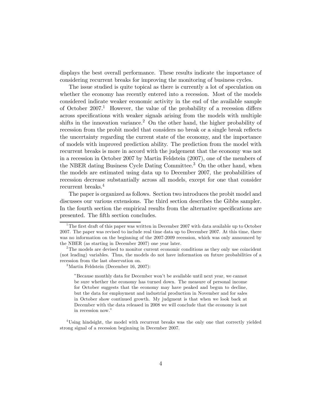displays the best overall performance. These results indicate the importance of considering recurrent breaks for improving the monitoring of business cycles.

The issue studied is quite topical as there is currently a lot of speculation on whether the economy has recently entered into a recession. Most of the models considered indicate weaker economic activity in the end of the available sample of October 2007.<sup>1</sup> However, the value of the probability of a recession differs across specifications with weaker signals arising from the models with multiple shifts in the innovation variance.<sup>2</sup> On the other hand, the higher probability of recession from the probit model that considers no break or a single break reflects the uncertainty regarding the current state of the economy, and the importance of models with improved prediction ability. The prediction from the model with recurrent breaks is more in accord with the judgement that the economy was not in a recession in October 2007 by Martin Feldstein (2007), one of the members of the NBER dating Business Cycle Dating Committee.<sup>3</sup> On the other hand, when the models are estimated using data up to December 2007, the probabilities of recession decrease substantially across all models, except for one that consider recurrent breaks.<sup>4</sup>

The paper is organized as follows. Section two introduces the probit model and discusses our various extensions. The third section describes the Gibbs sampler. In the fourth section the empirical results from the alternative specifications are presented. The fifth section concludes.

<sup>&</sup>lt;sup>1</sup>The first draft of this paper was written in December 2007 with data available up to October 2007. The paper was revised to include real time data up to December 2007. At this time, there was no information on the beginning of the 2007-2009 recession, which was only announced by the NBER (as starting in December 2007) one year later.

 $2$ The models are devised to monitor current economic conditions as they only use coincident (not leading) variables. Thus, the models do not have information on future probabilities of a recession from the last observation on.

 $3$ Martin Feldstein (December 16, 2007):

<sup>&</sup>quot;Because monthly data for December won't be available until next year, we cannot be sure whether the economy has turned down. The measure of personal income for October suggests that the economy may have peaked and begun to decline, but the data for employment and industrial production in November and for sales in October show continued growth. My judgment is that when we look back at December with the data released in 2008 we will conclude that the economy is not in recession now."

<sup>&</sup>lt;sup>4</sup>Using hindsight, the model with recurrent breaks was the only one that correctly yielded strong signal of a recession beginning in December 2007.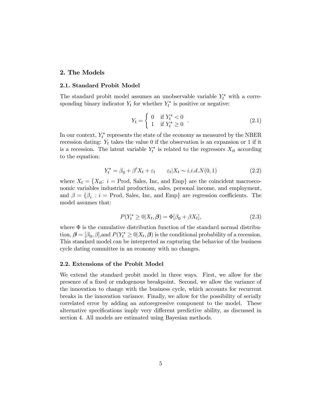# 2. The Models

#### 2.1. Standard Probit Model

The standard probit model assumes an unobservable variable  $Y_t^*$  with a corresponding binary indicator  $Y_t$  for whether  $Y_t^*$  is positive or negative:

$$
Y_t = \begin{cases} 0 & \text{if } Y_t^* < 0 \\ 1 & \text{if } Y_t^* \ge 0 \end{cases} . \tag{2.1}
$$

In our context,  $Y_t^*$  represents the state of the economy as measured by the NBER recession dating:  $Y_t$  takes the value 0 if the observation is an expansion or 1 if it is a recession. The latent variable  $Y_t^*$  is related to the regressors  $X_{it}$  according to the equation:

$$
Y_t^* = \beta_0 + \beta' X_t + \varepsilon_t \qquad \varepsilon_t | X_t \sim i.i.d. N(0, 1)
$$
\n
$$
(2.2)
$$

where  $X_t = \{X_{it}: i = \text{Prod}, \text{ Sales}, \text{Inc}, \text{ and Emp}\}$  are the coincident macroeconomic variables industrial production, sales, personal income, and employment, and  $\beta = \{\beta_i : i = \text{Prod}, \text{ Sales}, \text{Inc}, \text{ and Emp}\}\$  are regression coefficients. The model assumes that:

$$
P(Y_t^* \ge 0 | X_t, \beta) = \Phi[\beta_0 + \beta X_t], \qquad (2.3)
$$

where  $\Phi$  is the cumulative distribution function of the standard normal distribution,  $\boldsymbol{\beta} = [\beta_0, \beta]$ , and  $P(Y_t^* \geq 0 | X_t, \boldsymbol{\beta})$  is the conditional probability of a recession. This standard model can be interpreted as capturing the behavior of the business cycle dating committee in an economy with no changes.

#### 2.2. Extensions of the Probit Model

We extend the standard probit model in three ways. First, we allow for the presence of a fixed or endogenous breakpoint. Second, we allow the variance of the innovation to change with the business cycle, which accounts for recurrent breaks in the innovation variance. Finally, we allow for the possibility of serially correlated error by adding an autoregressive component to the model. These alternative specifications imply very different predictive ability, as discussed in section 4. All models are estimated using Bayesian methods.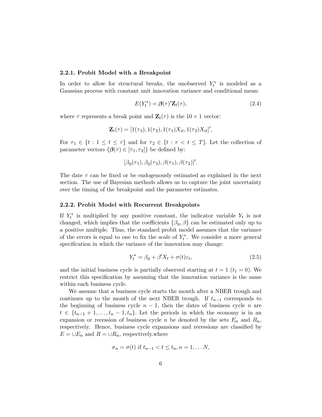#### 2.2.1. Probit Model with a Breakpoint

In order to allow for structural breaks, the unobserved  $Y_t^*$  is modeled as a Gaussian process with constant unit innovation variance and conditional mean:

$$
E(Y_t^*) = \beta(\tau)' \mathbf{Z}_t(\tau), \tag{2.4}
$$

where  $\tau$  represents a break point and  $\mathbf{Z}_t(\tau)$  is the  $10 \times 1$  vector:

$$
\mathbf{Z}_{t}(\tau)=[1(\tau_{1}),1(\tau_{2}),1(\tau_{1})X_{it},1(\tau_{2})X_{it}]',
$$

For  $\tau_1 \in \{t : 1 \le t \le \tau\}$  and for  $\tau_2 \in \{t : \tau < t \le T\}$ . Let the collection of parameter vectors  $\{\boldsymbol{\beta}(\tau) \in [\tau_1, \tau_2]\}$  be defined by:

$$
[\beta_0(\tau_1), \beta_0(\tau_2), \beta(\tau_1), \beta(\tau_2)]'.
$$

The date  $\tau$  can be fixed or be endogenously estimated as explained in the next section. The use of Bayesian methods allows us to capture the joint uncertainty over the timing of the breakpoint and the parameter estimates.

#### 2.2.2. Probit Model with Recurrent Breakpoints

If  $Y_t^*$  is multiplied by any positive constant, the indicator variable  $Y_t$  is not changed, which implies that the coefficients  $\{\beta_0, \beta\}$  can be estimated only up to a positive multiple. Thus, the standard probit model assumes that the variance of the errors is equal to one to fix the scale of  $Y_t^*$ . We consider a more general specification in which the variance of the innovation may change:

$$
Y_t^* = \beta_0 + \beta' X_t + \sigma(t)\varepsilon_t, \tag{2.5}
$$

and the initial business cycle is partially observed starting at  $t = 1$  ( $t_1 = 0$ ). We restrict this specification by assuming that the innovation variance is the same within each business cycle.

We assume that a business cycle starts the month after a NBER trough and continues up to the month of the next NBER trough. If  $t_{n-1}$  corresponds to the beginning of business cycle  $n-1$ , then the dates of business cycle n are  $t \in \{t_{n-1}+1,\ldots,t_n-1,t_n\}$ . Let the periods in which the economy is in an expansion or recession of business cycle n be denoted by the sets  $E_n$  and  $R_n$ , respectively. Hence, business cycle expansions and recessions are classified by  $E = \bigcup E_n$  and  $R = \bigcup R_n$ , respectively.where

$$
\sigma_n = \sigma(t) \text{ if } t_{n-1} < t \leq t_n, n = 1, \dots N,
$$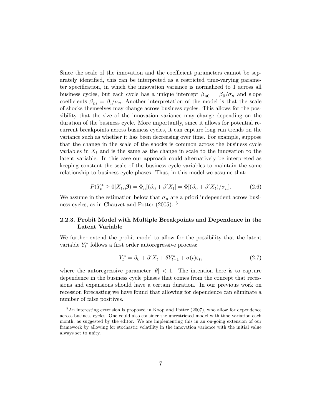Since the scale of the innovation and the coefficient parameters cannot be separately identified, this can be interpreted as a restricted time-varying parameter specification, in which the innovation variance is normalized to 1 across all business cycles, but each cycle has a unique intercept  $\beta_{n0} = \beta_0/\sigma_n$  and slope coefficients  $\beta_{ni} = \beta_i/\sigma_n$ . Another interpretation of the model is that the scale of shocks themselves may change across business cycles. This allows for the possibility that the size of the innovation variance may change depending on the duration of the business cycle. More importantly, since it allows for potential recurrent breakpoints across business cycles, it can capture long run trends on the variance such as whether it has been decreasing over time. For example, suppose that the change in the scale of the shocks is common across the business cycle variables in  $X_t$  and is the same as the change in scale to the innovation to the latent variable. In this case our approach could alternatively be interpreted as keeping constant the scale of the business cycle variables to maintain the same relationship to business cycle phases. Thus, in this model we assume that:

$$
P(Y_t^* \ge 0 | X_t, \beta) = \Phi_n[(\beta_0 + \beta' X_t] = \Phi[(\beta_0 + \beta' X_t)/\sigma_n].
$$
 (2.6)

We assume in the estimation below that  $\sigma_n$  are a priori independent across business cycles, as in Chauvet and Potter (2005). <sup>5</sup>

# 2.2.3. Probit Model with Multiple Breakpoints and Dependence in the Latent Variable

We further extend the probit model to allow for the possibility that the latent variable  $Y_t^*$  follows a first order autoregressive process:

$$
Y_t^* = \beta_0 + \beta' X_t + \theta Y_{t-1}^* + \sigma(t)\varepsilon_t, \tag{2.7}
$$

where the autoregressive parameter  $|\theta| < 1$ . The intention here is to capture dependence in the business cycle phases that comes from the concept that recessions and expansions should have a certain duration. In our previous work on recession forecasting we have found that allowing for dependence can eliminate a number of false positives.

 $5$ An interesting extension is proposed in Koop and Potter (2007), who allow for dependence across business cycles. One could also consider the unrestricted model with time variation each month, as suggested by the editor. We are implementing this in an on-going extension of our framework by allowing for stochastic volatility in the innovation variance with the initial value always set to unity.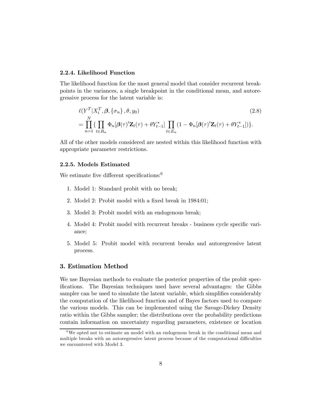# 2.2.4. Likelihood Function

The likelihood function for the most general model that consider recurrent breakpoints in the variances, a single breakpoint in the conditional mean, and autoregressive process for the latent variable is:

$$
\ell(Y^T | X_i^T, \beta, \{\sigma_n\}, \theta, y_0)
$$
\n
$$
= \prod_{n=1}^N \{ \prod_{t \in R_n} \Phi_n[\beta(\tau)' \mathbf{Z}_t(\tau) + \theta Y_{t-1}^*] \prod_{t \in E_n} (1 - \Phi_n[\beta(\tau)' \mathbf{Z}_t(\tau) + \theta Y_{t-1}^*]) \}.
$$
\n(2.8)

All of the other models considered are nested within this likelihood function with appropriate parameter restrictions.

# 2.2.5. Models Estimated

We estimate five different specifications:<sup>6</sup>

- 1. Model 1: Standard probit with no break;
- 2. Model 2: Probit model with a fixed break in 1984:01;
- 3. Model 3: Probit model with an endogenous break;
- 4. Model 4: Probit model with recurrent breaks business cycle specific variance;
- 5. Model 5: Probit model with recurrent breaks and autoregressive latent process.

#### 3. Estimation Method

We use Bayesian methods to evaluate the posterior properties of the probit specifications. The Bayesian techniques used have several advantages: the Gibbs sampler can be used to simulate the latent variable, which simplifies considerably the computation of the likelihood function and of Bayes factors used to compare the various models. This can be implemented using the Savage-Dickey Density ratio within the Gibbs sampler; the distributions over the probability predictions contain information on uncertainty regarding parameters, existence or location

 $6$ We opted not to estimate an model with an endogenous break in the conditional mean and multiple breaks with an autoregressive latent process because of the computational difficulties we encountered with Model 3.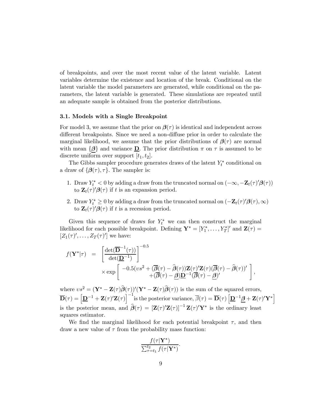of breakpoints, and over the most recent value of the latent variable. Latent variables determine the existence and location of the break. Conditional on the latent variable the model parameters are generated, while conditional on the parameters, the latent variable is generated. These simulations are repeated until an adequate sample is obtained from the posterior distributions.

#### 3.1. Models with a Single Breakpoint

For model 3, we assume that the prior on  $\beta(\tau)$  is identical and independent across different breakpoints. Since we need a non-diffuse prior in order to calculate the marginal likelihood, we assume that the prior distributions of  $\beta(\tau)$  are normal with mean  $\{\beta\}$  and variance **D**. The prior distribution  $\pi$  on  $\tau$  is assumed to be discrete uniform over support  $[t_1, t_2]$ .

The Gibbs sampler procedure generates draws of the latent  $Y_t^*$  conditional on a draw of  $\{\boldsymbol{\beta}(\tau), \tau\}$ . The sampler is:

- 1. Draw  $Y_t^* < 0$  by adding a draw from the truncated normal on  $(-\infty, -\mathbf{Z}_t(\tau)'\boldsymbol{\beta}(\tau))$ to  $\mathbf{Z}_t(\tau)' \boldsymbol{\beta}(\tau)$  if t is an expansion period.
- 2. Draw  $Y_t^* \geq 0$  by adding a draw from the truncated normal on  $(-\mathbf{Z}_t(\tau)'\boldsymbol{\beta}(\tau),\infty)$ to  $\mathbf{Z}_t(\tau)' \boldsymbol{\beta}(\tau)$  if t is a recession period.

Given this sequence of draws for  $Y_t^*$  we can then construct the marginal likelihood for each possible breakpoint. Defining  $\mathbf{Y}^* = [Y_1^*, \ldots, Y_T^*]'$  and  $\mathbf{Z}(\tau) =$  $[Z_1(\tau)', \ldots, Z_T(\tau)']$  we have:

$$
\label{eq:2.1} \begin{array}{rcl} f(\mathbf{Y}^*|\tau) & = & \left[\frac{\det(\overline{\mathbf{D}}^{-1}(\tau))}{\det(\underline{\mathbf{D}}^{-1})}\right]^{-0.5} \\ & & \times \exp\left[\begin{array}{cc} -0.5(vs^2+(\overline{\pmb\beta}(\tau)-\widehat{\pmb\beta}(\tau))\mathbf{Z}(\tau)'\mathbf{Z}(\tau)(\overline{\pmb\beta}(\tau)-\widehat{\pmb\beta}(\tau))'\\ & & +(\overline{\pmb\beta}(\tau)-\underline{\pmb\beta})\underline{\mathbf{D}}^{-1}(\overline{\pmb\beta}(\tau)-\underline{\pmb\beta})' \end{array}\right], \end{array}
$$

where  $vs^2 = (\mathbf{Y}^* - \mathbf{Z}(\tau)\hat{\boldsymbol{\beta}}(\tau))'(\mathbf{Y}^* - \mathbf{Z}(\tau)\hat{\boldsymbol{\beta}}(\tau))$  is the sum of the squared errors,  $\overline{\mathbf{D}}(\tau) = \left[\underline{\mathbf{D}}^{-1} + \mathbf{Z}(\tau)' \mathbf{Z}(\tau)\right]^{-1}$  is the posterior variance,  $\overline{\beta}(\tau) = \overline{\mathbf{D}}(\tau) \left[\underline{\mathbf{D}}^{-1}\boldsymbol{\beta} + \mathbf{Z}(\tau)' \mathbf{Y}^*\right]$ is the posterior mean, and  $\hat{\boldsymbol{\beta}}(\tau) = [\mathbf{Z}(\tau)' \mathbf{Z}(\tau)]^{-1} \mathbf{Z}(\tau)' \mathbf{Y}^*$  is the ordinary least squares estimator.

We find the marginal likelihood for each potential breakpoint  $\tau$ , and then draw a new value of  $\tau$  from the probability mass function:

$$
\frac{f(\tau|\mathbf{Y}^*)}{\sum_{\tau=t_1}^{t_2} f(\tau|\mathbf{Y}^*)}.
$$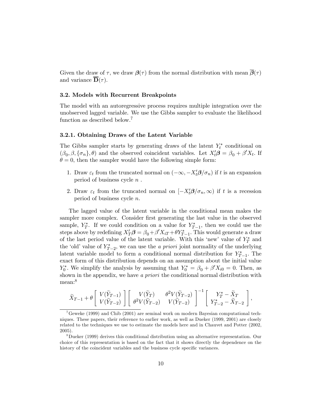Given the draw of  $\tau$ , we draw  $\mathcal{B}(\tau)$  from the normal distribution with mean  $\overline{\mathcal{B}}(\tau)$ and variance  $\overline{\mathbf{D}}(\tau)$ .

# 3.2. Models with Recurrent Breakpoints

The model with an autoregressive process requires multiple integration over the unobserved lagged variable. We use the Gibbs sampler to evaluate the likelihood function as described below.<sup>7</sup>

#### 3.2.1. Obtaining Draws of the Latent Variable

The Gibbs sampler starts by generating draws of the latent  $Y_t^*$  conditional on  $(\beta_0, \beta, \{\sigma_n\}, \theta)$  and the observed coincident variables. Let  $X_t' \mathbf{\beta} = \beta_0 + \beta' X_t$ . If  $\theta = 0$ , then the sampler would have the following simple form:

- 1. Draw  $\varepsilon_t$  from the truncated normal on  $(-\infty, -X_t'\mathcal{B}/\sigma_n)$  if t is an expansion period of business cycle  $n$ .
- 2. Draw  $\varepsilon_t$  from the truncated normal on  $[-X_t'\beta/\sigma_n,\infty)$  if t is a recession period of business cycle n.

The lagged value of the latent variable in the conditional mean makes the sampler more complex. Consider first generating the last value in the observed sample,  $Y_T^*$ . If we could condition on a value for  $Y_{T-1}^*$ , then we could use the steps above by redefining  $X'_T\beta = \beta_0 + \beta'X_{iT} + \theta Y^*_{T-1}$ . This would generate a draw of the last period value of the latent variable. With this 'new' value of  $Y^*$  and the 'old' value of  $Y_{T-2}^*$ , we can use the *a priori* joint normality of the underlying latent variable model to form a conditional normal distribution for  $Y_{T-1}^*$ . The exact form of this distribution depends on an assumption about the initial value  $Y_0^*$ . We simplify the analysis by assuming that  $Y_0^* = \beta_0 + \beta' X_{i0} = 0$ . Then, as shown in the appendix, we have a priori the conditional normal distribution with mean:<sup>8</sup>

$$
\widetilde{X}_{T-1} + \theta \begin{bmatrix} V(\widetilde{Y}_{T-1}) \\ V(\widetilde{Y}_{T-2}) \end{bmatrix} \begin{bmatrix} V(\widetilde{Y}_{T}) & \theta^2 V(\widetilde{Y}_{T-2}) \\ \theta^2 V(\widetilde{Y}_{T-2}) & V(\widetilde{Y}_{T-2}) \end{bmatrix}^{-1} \begin{bmatrix} Y_{T}^{*} - \widetilde{X}_{T} \\ Y_{T-2}^{*} - \widetilde{X}_{T-2} \end{bmatrix},
$$

<sup>&</sup>lt;sup>7</sup>Geweke (1999) and Chib (2001) are seminal work on modern Bayesian computational techniques. These papers, their reference to earlier work, as well as Dueker (1999, 2001) are closely related to the techniques we use to estimate the models here and in Chauvet and Potter (2002, 2005).

<sup>&</sup>lt;sup>8</sup>Dueker (1999) derives this conditional distribution using an alternative representation. Our choice of this representation is based on the fact that it shows directly the dependence on the history of the coincident variables and the business cycle specific variances.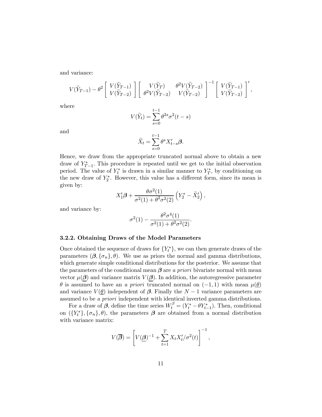and variance:

$$
V(\widetilde{Y}_{T-1}) - \theta^2 \begin{bmatrix} V(\widetilde{Y}_{T-1}) \\ V(\widetilde{Y}_{T-2}) \end{bmatrix} \begin{bmatrix} V(\widetilde{Y}_{T}) & \theta^2 V(\widetilde{Y}_{T-2}) \\ \theta^2 V(\widetilde{Y}_{T-2}) & V(\widetilde{Y}_{T-2}) \end{bmatrix}^{-1} \begin{bmatrix} V(\widetilde{Y}_{T-1}) \\ V(\widetilde{Y}_{T-2}) \end{bmatrix}',
$$

where

$$
V(\widetilde{Y}_t) = \sum_{s=0}^{t-1} \theta^{2s} \sigma^2(t-s)
$$

and

$$
\tilde{X}_t = \sum_{s=0}^{t-1} \theta^s X_{t-s}' \pmb{\beta}.
$$

Hence, we draw from the appropriate truncated normal above to obtain a new draw of  $Y_{T-1}^*$ . This procedure is repeated until we get to the initial observation period. The value of  $Y_1^*$  is drawn in a similar manner to  $Y_T^*$ , by conditioning on the new draw of  $Y_2^*$ . However, this value has a different form, since its mean is given by:

$$
X_1'\boldsymbol{\beta}+\frac{\theta\sigma^2(1)}{\sigma^2(1)+\theta^2\sigma^2(2)}\left(Y_2^*-\tilde X_2'\right),
$$

and variance by:

$$
\sigma^2(1) - \frac{\theta^2 \sigma^4(1)}{\sigma^2(1) + \theta^2 \sigma^2(2)}.
$$

#### 3.2.2. Obtaining Draws of the Model Parameters

Once obtained the sequence of draws for  ${Y<sub>t</sub><sup>*</sup>},$  we can then generate draws of the parameters  $(\beta, {\{\sigma_n\}}, \theta)$ . We use as priors the normal and gamma distributions, which generate simple conditional distributions for the posterior. We assume that the parameters of the conditional mean  $\beta$  are a priori bivariate normal with mean vector  $\mu(\boldsymbol{\beta})$  and variance matrix  $V(\boldsymbol{\beta})$ . In addition, the autoregressive parameter  $\theta$  is assumed to have an a priori truncated normal on  $(-1, 1)$  with mean  $\mu(\theta)$ and variance  $V(\underline{\theta})$  independent of  $\beta$ . Finally the  $N-1$  variance parameters are assumed to be a priori independent with identical inverted gamma distributions.

For a draw of  $\beta$ , define the time series  $W_t^{\beta} = (Y_t^* - \theta Y_{t-1}^*)$ . Then, conditional on  $({Y<sub>t</sub><sup>*</sup>}, {\sigma<sub>n</sub>}, \theta)$ , the parameters  $\boldsymbol{\beta}$  are obtained from a normal distribution with variance matrix:

$$
V(\overline{\boldsymbol{\beta}}) = \left[ V(\underline{\boldsymbol{\beta}})^{-1} + \sum_{t=1}^{T} X_t X_t' / \sigma^2(t) \right]^{-1},
$$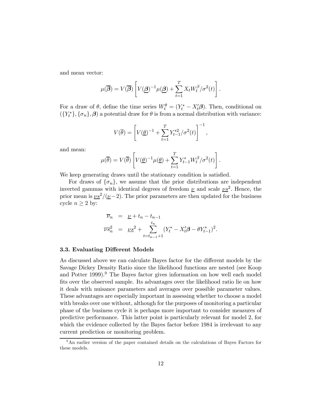and mean vector:

$$
\mu(\overline{\boldsymbol{\beta}}) = V(\overline{\boldsymbol{\beta}}) \left[ V(\underline{\boldsymbol{\beta}})^{-1} \mu(\underline{\boldsymbol{\beta}}) + \sum_{t=1}^{T} X_t W_t^{\beta} / \sigma^2(t) \right].
$$

For a draw of  $\theta$ , define the time series  $W_t^{\theta} = (Y_t^* - X_t^{\prime} \theta)$ . Then, conditional on  $({Y<sub>t</sub><sup>*</sup>}, {\sigma<sub>n</sub>}, \beta)$  a potential draw for  $\theta$  is from a normal distribution with variance:

$$
V(\overline{\theta}) = \left[ V(\underline{\theta})^{-1} + \sum_{t=1}^{T} Y_{t-1}^{*2} / \sigma^2(t) \right]^{-1},
$$

and mean:

$$
\mu(\overline{\theta}) = V(\overline{\theta}) \left[ V(\underline{\theta})^{-1} \mu(\underline{\theta}) + \sum_{t=1}^T Y_{t-1}^* W_t^{\beta} / \sigma^2(t) \right].
$$

We keep generating draws until the stationary condition is satisfied.

For draws of  $\{\sigma_n\}$ , we assume that the prior distributions are independent inverted gammas with identical degrees of freedom  $\underline{\nu}$  and scale  $\underline{\nu} s^2$ . Hence, the prior mean is  $\nu s^2/(\nu-2)$ . The prior parameters are then updated for the business cycle  $n \geq 2$  by:

$$
\overline{\nu}_n = \underline{\nu} + t_n - t_{n-1}
$$
  
\n
$$
\overline{\nu s}_n^2 = \underline{\nu s}^2 + \sum_{t=t_{n-1}+1}^{t_n} (Y_t^* - X_t' \boldsymbol{\beta} - \theta Y_{t-1}^*)^2.
$$

#### 3.3. Evaluating Different Models

As discussed above we can calculate Bayes factor for the different models by the Savage Dickey Density Ratio since the likelihood functions are nested (see Koop and Potter 1999).<sup>9</sup> The Bayes factor gives information on how well each model fits over the observed sample. Its advantages over the likelihood ratio lie on how it deals with nuisance parameters and averages over possible parameter values. These advantages are especially important in assessing whether to choose a model with breaks over one without, although for the purposes of monitoring a particular phase of the business cycle it is perhaps more important to consider measures of predictive performance. This latter point is particularly relevant for model 2, for which the evidence collected by the Bayes factor before 1984 is irrelevant to any current prediction or monitoring problem.

<sup>9</sup>An earlier version of the paper contained details on the calculations of Bayes Factors for these models.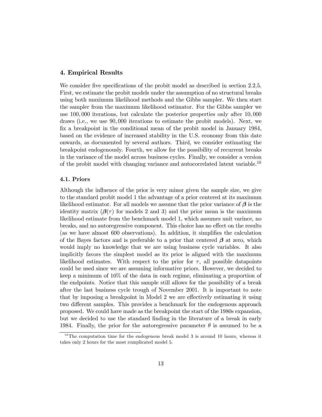# 4. Empirical Results

We consider five specifications of the probit model as described in section 2.2.5. First, we estimate the probit models under the assumption of no structural breaks using both maximum likelihood methods and the Gibbs sampler. We then start the sampler from the maximum likelihood estimator. For the Gibbs sampler we use 100, 000 iterations, but calculate the posterior properties only after 10, 000 draws (i.e., we use 90, 000 iterations to estimate the probit models). Next, we fix a breakpoint in the conditional mean of the probit model in January 1984, based on the evidence of increased stability in the U.S. economy from this date onwards, as documented by several authors. Third, we consider estimating the breakpoint endogenously. Fourth, we allow for the possibility of recurrent breaks in the variance of the model across business cycles. Finally, we consider a version of the probit model with changing variance and autocorrelated latent variable.<sup>10</sup>

# 4.1. Priors

Although the influence of the prior is very minor given the sample size, we give to the standard probit model 1 the advantage of a prior centered at its maximum likelihood estimator. For all models we assume that the prior variance of  $\beta$  is the identity matrix  $(\beta(\tau))$  for models 2 and 3) and the prior mean is the maximum likelihood estimate from the benchmark model 1, which assumes unit varince, no breaks, and no autoregressive component. This choice has no effect on the results (as we have almost 600 observations). In addition, it simplifies the calculation of the Bayes factors and is preferable to a prior that centered  $\beta$  at zero, which would imply no knowledge that we are using business cycle variables. It also implicitly favors the simplest model as its prior is aligned with the maximum likelihood estimates. With respect to the prior for  $\tau$ , all possible datapoints could be used since we are assuming informative priors. However, we decided to keep a minimum of 10% of the data in each regime, eliminating a proportion of the endpoints. Notice that this sample still allows for the possibility of a break after the last business cycle trough of November 2001. It is important to note that by imposing a breakpoint in Model 2 we are effectively estimating it using two different samples. This provides a benchmark for the endogenous approach proposed. We could have made as the breakpoint the start of the 1980s expansion, but we decided to use the standard finding in the literature of a break in early 1984. Finally, the prior for the autoregressive parameter  $\theta$  is assumed to be a

 $10$ <sup>10</sup>The computation time for the endogenous break model 3 is around 10 hours, whereas it takes only 2 hours for the most complicated model 5.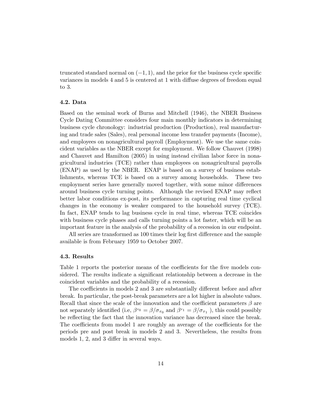truncated standard normal on  $(-1, 1)$ , and the prior for the business cycle specific variances in models 4 and 5 is centered at 1 with diffuse degrees of freedom equal to 3.

#### 4.2. Data

Based on the seminal work of Burns and Mitchell (1946), the NBER Business Cycle Dating Committee considers four main monthly indicators in determining business cycle chronology: industrial production (Production), real manufacturing and trade sales (Sales), real personal income less transfer payments (Income), and employees on nonagricultural payroll (Employment). We use the same coincident variables as the NBER except for employment. We follow Chauvet (1998) and Chauvet and Hamilton (2005) in using instead civilian labor force in nonagricultural industries (TCE) rather than employees on nonagricultural payrolls (ENAP) as used by the NBER. ENAP is based on a survey of business establishments, whereas TCE is based on a survey among households. These two employment series have generally moved together, with some minor differences around business cycle turning points. Although the revised ENAP may reflect better labor conditions ex-post, its performance in capturing real time cyclical changes in the economy is weaker compared to the household survey (TCE). In fact, ENAP tends to lag business cycle in real time, whereas TCE coincides with business cycle phases and calls turning points a lot faster, which will be an important feature in the analysis of the probability of a recession in our endpoint.

All series are transformed as 100 times their log first difference and the sample available is from February 1959 to October 2007.

#### 4.3. Results

Table 1 reports the posterior means of the coefficients for the five models considered. The results indicate a significant relationship between a decrease in the coincident variables and the probability of a recession.

The coefficients in models 2 and 3 are substantially different before and after break. In particular, the post-break parameters are a lot higher in absolute values. Recall that since the scale of the innovation and the coefficient parameters  $\beta$  are not separately identified (i.e,  $\beta^{\tau_0} = \beta/\sigma_{\tau_0}$  and  $\beta^{\tau_1} = \beta/\sigma_{\tau_1}$ ), this could possibly be reflecting the fact that the innovation variance has decreased since the break. The coefficients from model 1 are roughly an average of the coefficients for the periods pre and post break in models 2 and 3. Nevertheless, the results from models 1, 2, and 3 differ in several ways.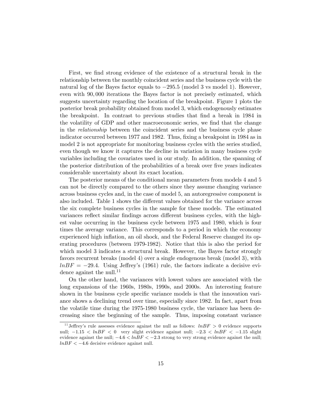First, we find strong evidence of the existence of a structural break in the relationship between the monthly coincident series and the business cycle with the natural log of the Bayes factor equals to  $-295.5$  (model 3 vs model 1). However, even with 90, 000 iterations the Bayes factor is not precisely estimated, which suggests uncertainty regarding the location of the breakpoint. Figure 1 plots the posterior break probability obtained from model 3, which endogenously estimates the breakpoint. In contrast to previous studies that find a break in 1984 in the volatility of GDP and other macroeconomic series, we find that the change in the relationship between the coincident series and the business cycle phase indicator occurred between 1977 and 1982. Thus, fixing a breakpoint in 1984 as in model 2 is not appropriate for monitoring business cycles with the series studied, even though we know it captures the decline in variation in many business cycle variables including the covariates used in our study. In addition, the spanning of the posterior distribution of the probabilities of a break over five years indicates considerable uncertainty about its exact location.

The posterior means of the conditional mean parameters from models 4 and 5 can not be directly compared to the others since they assume changing variance across business cycles and, in the case of model 5, an autoregressive component is also included. Table 1 shows the different values obtained for the variance across the six complete business cycles in the sample for these models. The estimated variances reflect similar findings across different business cycles, with the highest value occurring in the business cycle between 1975 and 1980, which is four times the average variance. This corresponds to a period in which the economy experienced high inflation, an oil shock, and the Federal Reserve changed its operating procedures (between 1979-1982). Notice that this is also the period for which model 3 indicates a structural break. However, the Bayes factor strongly favors recurrent breaks (model 4) over a single endogenous break (model 3), with  $lnBF = -29.4$ . Using Jeffrey's (1961) rule, the factors indicate a decisive evidence against the null. $^{11}$ 

On the other hand, the variances with lowest values are associated with the long expansions of the 1960s, 1980s, 1990s, and 2000s. An interesting feature shown in the business cycle specific variance models is that the innovation variance shows a declining trend over time, especially since 1982. In fact, apart from the volatile time during the 1975-1980 business cycle, the variance has been decreasing since the beginning of the sample. Thus, imposing constant variance

<sup>&</sup>lt;sup>11</sup> Jeffrey's rule assesses evidence against the null as follows:  $lnBF > 0$  evidence supports null;  $-1.15 < lnBF < 0$  very slight evidence against null;  $-2.3 < lnBF < -1.15$  slight evidence against the null;  $-4.6 < lnBF < -2.3$  strong to very strong evidence against the null;  $lnBF < -4.6$  decisive evidence against null.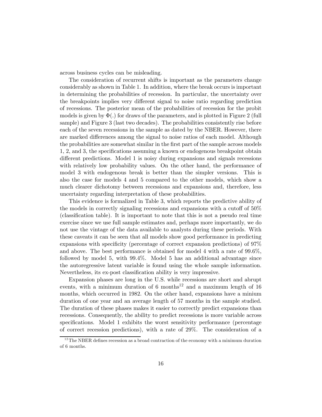across business cycles can be misleading.

The consideration of recurrent shifts is important as the parameters change considerably as shown in Table 1. In addition, where the break occurs is important in determining the probabilities of recession. In particular, the uncertainty over the breakpoints implies very different signal to noise ratio regarding prediction of recessions. The posterior mean of the probabilities of recession for the probit models is given by  $\Phi(.)$  for draws of the parameters, and is plotted in Figure 2 (full sample) and Figure 3 (last two decades). The probabilities consistently rise before each of the seven recessions in the sample as dated by the NBER. However, there are marked differences among the signal to noise ratios of each model. Although the probabilities are somewhat similar in the first part of the sample across models 1, 2, and 3, the specifications assuming a known or endogenous breakpoint obtain different predictions. Model 1 is noisy during expansions and signals recessions with relatively low probability values. On the other hand, the performance of model 3 with endogenous break is better than the simpler versions. This is also the case for models 4 and 5 compared to the other models, which show a much clearer dichotomy between recessions and expansions and, therefore, less uncertainty regarding interpretation of these probabilities.

This evidence is formalized in Table 3, which reports the predictive ability of the models in correctly signaling recessions and expansions with a cutoff of 50% (classification table). It is important to note that this is not a pseudo real time exercise since we use full sample estimates and, perhaps more importantly, we do not use the vintage of the data available to analysts during these periods. With these caveats it can be seen that all models show good performance in predicting expansions with specificity (percentage of correct expansion predictions) of 97% and above. The best performance is obtained for model 4 with a rate of 99.6%, followed by model 5, with 99.4%. Model 5 has an additional advantage since the autoregressive latent variable is found using the whole sample information. Nevertheless, its ex-post classification ability is very impressive.

Expansion phases are long in the U.S. while recessions are short and abrupt events, with a minimum duration of 6 months<sup>12</sup> and a maximum length of 16 months, which occurred in 1982. On the other hand, expansions have a minium duration of one year and an average length of 57 months in the sample studied. The duration of these phases makes it easier to correctly predict expansions than recessions. Consequently, the ability to predict recessions is more variable across specifications. Model 1 exhibits the worst sensitivity performance (percentage of correct recession predictions), with a rate of 29%. The consideration of a

 $12$ The NBER defines recession as a broad contraction of the economy with a minimum duration of 6 months.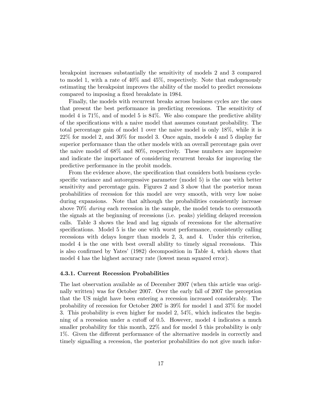breakpoint increases substantially the sensitivity of models 2 and 3 compared to model 1, with a rate of 40% and 45%, respectively. Note that endogenously estimating the breakpoint improves the ability of the model to predict recessions compared to imposing a fixed breakdate in 1984.

Finally, the models with recurrent breaks across business cycles are the ones that present the best performance in predicting recessions. The sensitivity of model 4 is 71%, and of model 5 is 84%. We also compare the predictive ability of the specifications with a naive model that assumes constant probability. The total percentage gain of model 1 over the naive model is only 18%, while it is 22% for model 2, and 30% for model 3. Once again, models 4 and 5 display far superior performance than the other models with an overall percentage gain over the naive model of 68% and 80%, respectively. These numbers are impressive and indicate the importance of considering recurrent breaks for improving the predictive performance in the probit models.

From the evidence above, the specification that considers both business cyclespecific variance and autoregressive parameter (model 5) is the one with better sensitivity and percentage gain. Figures 2 and 3 show that the posterior mean probabilities of recession for this model are very smooth, with very low noise during expansions. Note that although the probabilities consistently increase above 70% during each recession in the sample, the model tends to oversmooth the signals at the beginning of recessions (i.e. peaks) yielding delayed recession calls. Table 3 shows the lead and lag signals of recessions for the alternative specifications. Model 5 is the one with worst performance, consistently calling recessions with delays longer than models 2, 3, and 4. Under this criterion, model 4 is the one with best overall ability to timely signal recessions. This is also confirmed by Yates' (1982) decomposition in Table 4, which shows that model 4 has the highest accuracy rate (lowest mean squared error).

#### 4.3.1. Current Recession Probabilities

The last observation available as of December 2007 (when this article was originally written) was for October 2007. Over the early fall of 2007 the perception that the US might have been entering a recession increased considerably. The probability of recession for October 2007 is 39% for model 1 and 37% for model 3. This probability is even higher for model 2, 54%, which indicates the beginning of a recession under a cutoff of 0.5. However, model 4 indicates a much smaller probability for this month,  $22\%$  and for model 5 this probability is only 1%. Given the different performance of the alternative models in correctly and timely signalling a recession, the posterior probabilities do not give much infor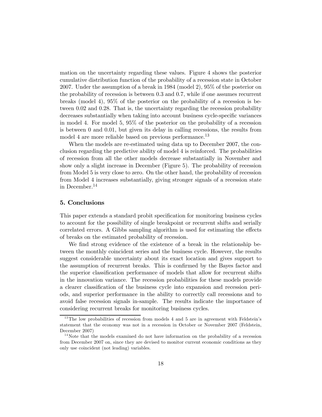mation on the uncertainty regarding these values. Figure 4 shows the posterior cumulative distribution function of the probability of a recession state in October 2007. Under the assumption of a break in 1984 (model 2), 95% of the posterior on the probability of recession is between 0.3 and 0.7, while if one assumes recurrent breaks (model 4), 95% of the posterior on the probability of a recession is between 0.02 and 0.28. That is, the uncertainty regarding the recession probability decreases substantially when taking into account business cycle-specific variances in model 4. For model 5, 95% of the posterior on the probability of a recession is between 0 and 0.01, but given its delay in calling recessions, the results from model 4 are more reliable based on previous performance.<sup>13</sup>

When the models are re-estimated using data up to December 2007, the conclusion regarding the predictive ability of model 4 is reinforced. The probabilities of recession from all the other models decrease substantially in November and show only a slight increase in December (Figure 5). The probability of recession from Model 5 is very close to zero. On the other hand, the probability of recession from Model 4 increases substantially, giving stronger signals of a recession state in December.<sup>14</sup>

# 5. Conclusions

This paper extends a standard probit specification for monitoring business cycles to account for the possibility of single breakpoint or recurrent shifts and serially correlated errors. A Gibbs sampling algorithm is used for estimating the effects of breaks on the estimated probability of recession.

We find strong evidence of the existence of a break in the relationship between the monthly coincident series and the business cycle. However, the results suggest considerable uncertainty about its exact location and gives support to the assumption of recurrent breaks. This is confirmed by the Bayes factor and the superior classification performance of models that allow for recurrent shifts in the innovation variance. The recession probabilities for these models provide a clearer classification of the business cycle into expansion and recession periods, and superior performance in the ability to correctly call recessions and to avoid false recession signals in-sample. The results indicate the importance of considering recurrent breaks for monitoring business cycles.

 $13$ The low probabilities of recession from models 4 and 5 are in agreement with Feldstein's statement that the economy was not in a recession in October or November 2007 (Feldstein, December 2007)

 $14$ Note that the models examined do not have information on the probability of a recession from December 2007 on, since they are devised to monitor current economic conditions as they only use coincident (not leading) variables.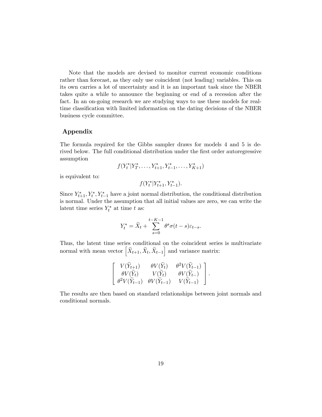Note that the models are devised to monitor current economic conditions rather than forecast, as they only use coincident (not leading) variables. This on its own carries a lot of uncertainty and it is an important task since the NBER takes quite a while to announce the beginning or end of a recession after the fact. In an on-going research we are studying ways to use these models for realtime classification with limited information on the dating decisions of the NBER business cycle committee.

# Appendix

The formula required for the Gibbs sampler draws for models 4 and 5 is derived below. The full conditional distribution under the first order autoregressive assumption

$$
f(Y_t^*|Y_T^*,\ldots,Y_{t+1}^*,Y_{t-1}^*,\ldots,Y_{K+1}^*)
$$

is equivalent to:

 $f(Y_t^*|Y_{t+1}^*, Y_{t-1}^*)$ .

Since  $Y_{t+1}^*, Y_t^*, Y_{t-1}^*$  have a joint normal distribution, the conditional distribution is normal. Under the assumption that all initial values are zero, we can write the latent time series  $Y_t^*$  at time t as:

$$
Y^*_t=\tilde X_t+\sum_{s=0}^{t-K-1}\theta^s\sigma(t-s)\varepsilon_{t-s}.
$$

Thus, the latent time series conditional on the coincident series is multivariate normal with mean vector  $\left[ \tilde{X}_{t+1}, \tilde{X}_t, \tilde{X}_{t-1} \right]$  and variance matrix:

$$
\begin{bmatrix}\nV(\widetilde{Y}_{t+1}) & \theta V(\widetilde{Y}_{t}) & \theta^2 V(\widetilde{Y}_{t-1}) \\
\theta V(\widetilde{Y}_{t}) & V(\widetilde{Y}_{t}) & \theta V(\widetilde{Y}_{t-1}) \\
\theta^2 V(\widetilde{Y}_{t-1}) & \theta V(\widetilde{Y}_{t-1}) & V(\widetilde{Y}_{t-1})\n\end{bmatrix}.
$$

The results are then based on standard relationships between joint normals and conditional normals.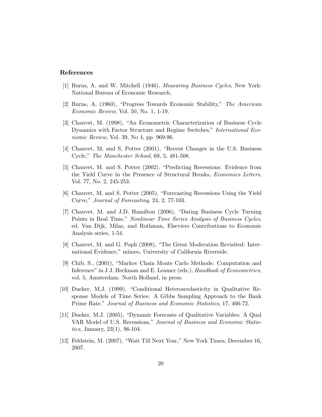# References

- [1] Burns, A. and W. Mitchell (1946), Measuring Business Cycles, New York: National Bureau of Economic Research.
- [2] Burns, A. (1960), "Progress Towards Economic Stability," The American Economic Review, Vol. 50, No. 1, 1-19.
- [3] Chauvet, M. (1998), "An Econometric Characterization of Business Cycle Dynamics with Factor Structure and Regime Switches," International Economic Review, Vol. 39, No 4, pp. 969-96.
- [4] Chauvet, M. and S. Potter (2001), "Recent Changes in the U.S. Business Cycle," The Manchester School, 69, 5, 481-508.
- [5] Chauvet, M. and S. Potter (2002). "Predicting Recessions: Evidence from the Yield Curve in the Presence of Structural Breaks, Economics Letters, Vol. 77, No. 2, 245-253.
- [6] Chauvet, M. and S. Potter (2005), "Forecasting Recessions Using the Yield Curve," Journal of Forecasting, 24, 2, 77-103.
- [7] Chauvet, M. and J.D. Hamilton (2006), "Dating Business Cycle Turning Points in Real Time," Nonlinear Time Series Analysis of Business Cycles, ed. Van Dijk, Milas, and Rothman, Elseviers Contributions to Economic Analysis series, 1-54.
- [8] Chauvet, M. and G. Popli (2008), "The Great Moderation Revisited: International Evidence," mimeo, University of California Riverside.
- [9] Chib, S., (2001), "Markov Chain Monte Carlo Methods: Computation and Inference" in J.J. Heckman and E. Leamer (eds.), *Handbook of Econometrics*, vol. 5, Amsterdam: North Holland, in press.
- [10] Dueker, M.J. (1999), "Conditional Heteroscedasticity in Qualitative Response Models of Time Series: A Gibbs Sampling Approach to the Bank Prime Rate." Journal of Business and Economic Statistics, 17, 466-72.
- [11] Dueker, M.J. (2005), "Dynamic Forecasts of Qualitative Variables: A Qual VAR Model of U.S. Recessions," Journal of Business and Economic Statistics, January, 23(1), 96-104.
- [12] Feldstein, M. (2007), "Wait Till Next Year," New York Times, December 16, 2007.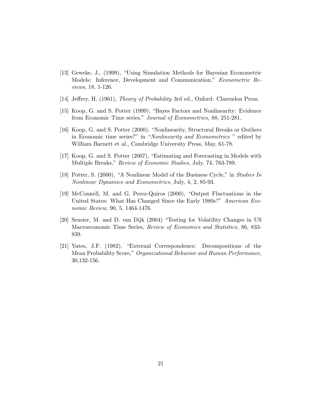- [13] Geweke, J., (1999), "Using Simulation Methods for Bayesian Econometric Models: Inference, Development and Communication," Econometric Reviews, 18, 1-126.
- [14] Jeffrey, H. (1961), Theory of Probability 3rd ed., Oxford: Clarendon Press.
- [15] Koop, G. and S. Potter (1999), "Bayes Factors and Nonlinearity: Evidence from Economic Time series," Journal of Econometrics, 88, 251-281.
- [16] Koop, G. and S. Potter (2000), "Nonlinearity, Structural Breaks or Outliers in Economic time series?" in "Nonlinearity and Econometrics " edited by William Barnett et al., Cambridge University Press, May, 61-78.
- [17] Koop, G. and S. Potter (2007), "Estimating and Forecasting in Models with Multiple Breaks," Review of Economic Studies, July, 74, 763-789.
- [18] Potter, S. (2000), "A Nonlinear Model of the Business Cycle," in Studies In Nonlinear Dynamics and Econometrics, July, 4, 2, 85-93.
- [19] McConnell, M. and G. Perez-Quiros (2000), "Output Fluctuations in the United States: What Has Changed Since the Early 1980s?" American Economic Review, 90, 5, 1464-1476.
- [20] Sensier, M. and D. van Dijk (2004) "Testing for Volatility Changes in US Macroeconomic Time Series, Review of Economics and Statistics, 86, 833- 839.
- [21] Yates, J.F. (1982), "External Correspondence: Decompositions of the Mean Probability Score," Organizational Behavior and Human Performance, 30,132-156.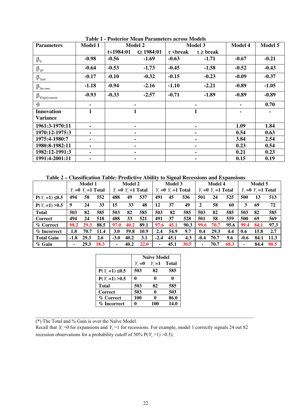| <b>Parameters</b>             | <b>Model 1</b> | <b>Model 2</b> |                 |                      | Model 3            | Model 4 | Model 5 |
|-------------------------------|----------------|----------------|-----------------|----------------------|--------------------|---------|---------|
|                               |                | t<1984:01      | $t \ge 1984:01$ | $\tau$<br>\epsilonak | $\tau \geq b$ reak |         |         |
| $\beta_0$                     | $-0.98$        | $-0.56$        | $-1.69$         | $-0.63$              | $-1.71$            | $-0.67$ | $-0.21$ |
| $\beta_{IP}$                  | $-0.64$        | $-0.53$        | $-1.73$         | $-0.45$              | $-1.58$            | $-0.52$ | $-0.43$ |
| $\beta_{\textit{Sale}}$       | $-0.17$        | $-0.10$        | $-0.32$         | $-0.15$              | $-0.23$            | $-0.09$ | $-0.37$ |
| $\beta_{\text{Income}}$       | $-1.18$        | $-0.94$        | $-2.16$         | $-1.10$              | $-2.21$            | $-0.89$ | $-1.05$ |
| $\beta_{\mathit{Embloyment}}$ | $-0.93$        | $-0.33$        | $-2.57$         | $-0.71$              | $-1.89$            | $-0.89$ | $-0.89$ |
| $\theta$                      | ۰              |                | ۰               |                      | $\blacksquare$     |         | 0.70    |
| <b>Innovation</b>             |                |                | $\mathbf{1}$    |                      | $\mathbf{1}$       |         | ۰       |
| <b>Variance</b>               |                |                |                 |                      |                    |         |         |
| 1961:3-1970:11                | ۰              |                | ٠               |                      | $\blacksquare$     | 1.09    | 1.84    |
| 1970:12-1975:3                | ۰              |                | ۰.              |                      | $\blacksquare$     | 0.54    | 0.63    |
| 1975:4-1980:7                 | ۰              |                | ۰               |                      | Ξ.                 | 3.84    | 2.54    |
| 1980:8-1982:11                | ۰              |                | ۰               |                      | ۰.                 | 0.23    | 0.54    |
| 1982:12-1991:3                | ۰              |                | ۰               |                      | ۰.                 | 0.21    | 0.23    |
| 1991:4-2001:11                | ۰.             | ۰              |                 |                      | ٠.                 | 0.15    | 0.19    |

**Table 1 - Posterior Mean Parameters across Models** 

**Table 2 – Classification Table: Predictive Ability to Signal Recessions and Expansions** 

|                    | <b>Model 1</b>            |      | <b>Model 2</b>            |            | Model 3                   |      | <b>Model 4</b>            |      |      | Model 5                   |      |      |        |      |      |
|--------------------|---------------------------|------|---------------------------|------------|---------------------------|------|---------------------------|------|------|---------------------------|------|------|--------|------|------|
|                    | $Y_i = 0$ $Y_i = 1$ Total |      | $Y_1 = 0$ $Y_2 = 1$ Total |            | $Y_i = 0$ $Y_i = 1$ Total |      | $Y_i = 0$ $Y_i = 1$ Total |      |      | $Y_t = 0$ $Y_t = 1$ Total |      |      |        |      |      |
| $P(Y, =1) \le 0.5$ | 494                       | 58   | 552                       | 488        | 49                        | 537  | 491                       | 45   | 536  | 501                       | 24   | 525  | 500    | 13   | 513  |
| $P(Y, =1) > 0.5$   | 9                         | 24   | 33                        | 15         | 33                        | 48   | 12                        | 37   | 49   | $\mathbf{2}$              | 58   | 60   | 3      | 69   | 72   |
| <b>Total</b>       | 503                       | 82   | 585                       | 503        | 82                        | 585  | 503                       | 82   | 585  | 503                       | 82   | 585  | 503    | 82   | 585  |
| <b>Correct</b>     | 494                       | 24   | 518                       | 488        | 33                        | 521  | 491                       | 37   | 528  | 501                       | 58   | 559  | 500    | 69   | 569  |
| % Correct          | 98.2                      | 29.3 | 88.5                      | 97.0       | 40.2                      | 89.1 | 97.6                      | 45.1 | 90.3 | 99.6                      | 70.7 | 95.6 | 99.4   | 84.1 | 97.3 |
| % Incorrect        | 1.8                       | 70.7 | 11.4                      | <b>3.0</b> | 59.8                      | 10.9 | 2.4                       | 54.9 | 9.7  | 0.4                       | 29.3 | 4.4  | 0.6    | 15.8 | 2.7  |
| <b>Total Gain</b>  | $-1.8$                    | 29.3 | 2.6                       | $-3.0$     | 40.2                      | 3.1  | $-2.4$                    | 45.1 | 4.3  | $-0.4$                    | 70.7 | 9.6  | $-0.6$ | 84.1 | 11.3 |
| $%$ Gain           | ۰                         | 29.3 | 18.3                      | ۰          | 40.2                      | 22.0 | ۰                         | 45.1 | 30.5 |                           | 70.7 | 68.3 | ۰      | 84.4 | 80.5 |

|                    | <b>Naïve Model</b> |                 |      |  |  |  |  |
|--------------------|--------------------|-----------------|------|--|--|--|--|
|                    | $Y_{\rm c}=0$      | $Y_t = 1$ Total |      |  |  |  |  |
| $P(Y, =1) \le 0.5$ | 503                | 82              | 585  |  |  |  |  |
| $P(Y, =1) > 0.5$   |                    |                 |      |  |  |  |  |
| <b>Total</b>       | 503                | 82              | 585  |  |  |  |  |
| <b>Correct</b>     | 503                | 0               | 503  |  |  |  |  |
| % Correct          | 100                | Λ               | 86.0 |  |  |  |  |
| % Incorrect        |                    | 100             | 14.0 |  |  |  |  |

(\*) The Total and % Gain is over the Naïve Model.

Recall that  $Y_t = 0$  for expansions and  $Y_t = 1$  for recessions. For example, model 1 correctly signals 24 out 82 recession observations for a probability cutoff of 50%  $P(Y_t = 1) > 0.5$ .

 $\_$  , and the set of the set of the set of the set of the set of the set of the set of the set of the set of the set of the set of the set of the set of the set of the set of the set of the set of the set of the set of th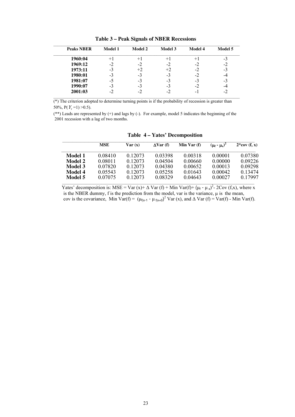| <b>Peaks NBER</b> | <b>Model 1</b> | <b>Model 2</b> | <b>Model 3</b> | <b>Model 4</b> | <b>Model 5</b> |
|-------------------|----------------|----------------|----------------|----------------|----------------|
| 1960:04           | $+1$           | $+1$           | $+1$           | $+1$           | $-3$           |
| 1969:12           | -2             | -2             | -2             | -2             | $-2$           |
| 1973:11           | $-3$           | $+2$           | $+2$           | -2             | $-3$           |
| 1980:01           | $-3$           | -3             | $-3$           | -2             | -4             |
| 1981:07           | -5             | -3             | $-3$           | -3             | $-3$           |
| 1990:07           | $-3$           | $-3$           | -3             | -2             | -4             |
| 2001:03           | $-2$           | $-2$           | $-2$           | - 1            | $-2$           |

**Table 3 – Peak Signals of NBER Recessions** 

 $(*)$  The criterion adopted to determine turning points is if the probability of recession is greater than 50%,  $P(Y_t = 1) > 0.5$ ).

(\*\*) Leads are represented by (+) and lags by (-). For example, model 5 indicates the beginning of the 2001 recession with a lag of two months.

|         | MSE     | Var(x)  | $\Delta Var(f)$ | Min Var $(f)$ | $(\mu_f - \mu_x)^2$ | $2*cov(f, x)$ |
|---------|---------|---------|-----------------|---------------|---------------------|---------------|
| Model 1 | 0.08410 | 0.12073 | 0.03398         | 0.00318       | 0.00001             | 0.07380       |
| Model 2 | 0.08011 | 0.12073 | 0.04504         | 0.00660       | 0.00000             | 0 0 9 2 2 6   |
| Model 3 | 0.07820 | 0.12073 | 0.04380         | 0.00652       | 0.00013             | 0 0 9 2 9 8   |
| Model 4 | 0.05543 | 0.12073 | 0.05258         | 0.01643       | 0.00042             | 0 1 3 4 7 4   |
| Model 5 | 0.07075 | 0.12073 | 0.08329         | 0.04643       | 0.00027             | 0.17997       |

 **Table 4 – Yates' Decomposition** 

Yates' decomposition is: MSE = Var (x)+  $\Delta$  Var (f) + Min Var(f)+ ( $\mu_f$  -  $\mu_x$ )<sup>2</sup>- 2Cov (f,x), where x is the NBER dummy, f is the prediction from the model, var is the variance,  $\mu$  is the mean, cov is the covariance, Min Var(f) =  $(\mu_{f|x-1} - \mu_{f|x=0})^2$  Var (x), and  $\Delta$  Var (f) = Var(f) - Min Var(f).

\_\_\_\_\_\_\_\_\_\_\_\_\_\_\_\_\_\_\_\_\_\_\_\_\_\_\_\_\_\_\_\_\_\_\_\_\_\_\_\_\_\_\_\_\_\_\_\_\_\_\_\_\_\_\_\_\_\_\_\_\_\_\_\_\_\_\_\_\_\_\_\_\_\_\_\_\_\_\_\_\_\_\_\_\_\_\_\_\_\_\_\_\_\_\_\_\_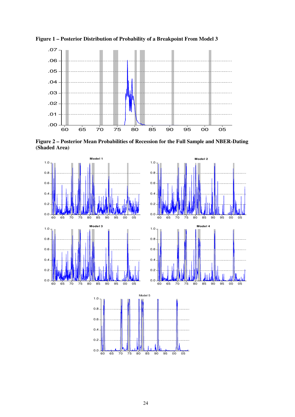

**Figure 1 – Posterior Distribution of Probability of a Breakpoint From Model 3** 

**Figure 2 – Posterior Mean Probabilities of Recession for the Full Sample and NBER-Dating (Shaded Area)** 

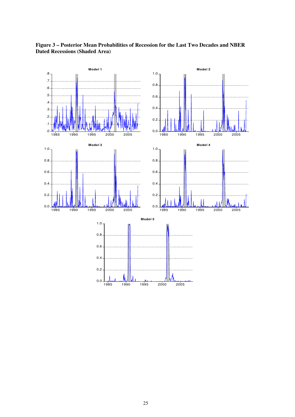

# **Figure 3 – Posterior Mean Probabilities of Recession for the Last Two Decades and NBER Dated Recessions (Shaded Area)**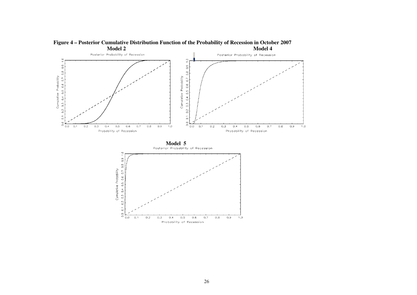

**Figure 4 – Posterior Cumulative Distribution Function of the Probability of Recession in October 2007**